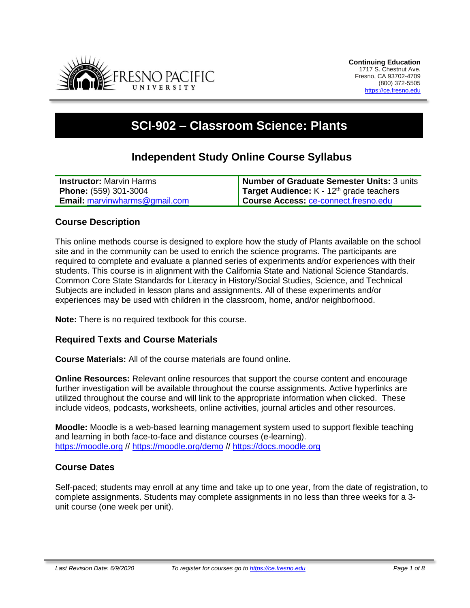

# **SCI-902 – Classroom Science: Plants**

# **Independent Study Online Course Syllabus**

| <b>Instructor:</b> Marvin Harms      | Number of Graduate Semester Units: 3 units        |
|--------------------------------------|---------------------------------------------------|
| <b>Phone:</b> (559) 301-3004         | <b>Target Audience:</b> $K - 12th$ grade teachers |
| <b>Email:</b> marvinwharms@gmail.com | Course Access: ce-connect.fresno.edu              |

## **Course Description**

This online methods course is designed to explore how the study of Plants available on the school site and in the community can be used to enrich the science programs. The participants are required to complete and evaluate a planned series of experiments and/or experiences with their students. This course is in alignment with the California State and National Science Standards. Common Core State Standards for Literacy in History/Social Studies, Science, and Technical Subjects are included in lesson plans and assignments. All of these experiments and/or experiences may be used with children in the classroom, home, and/or neighborhood.

**Note:** There is no required textbook for this course.

#### **Required Texts and Course Materials**

**Course Materials:** All of the course materials are found online.

**Online Resources:** Relevant online resources that support the course content and encourage further investigation will be available throughout the course assignments. Active hyperlinks are utilized throughout the course and will link to the appropriate information when clicked. These include videos, podcasts, worksheets, online activities, journal articles and other resources.

**Moodle:** Moodle is a web-based learning management system used to support flexible teaching and learning in both face-to-face and distance courses (e-learning). [https://moodle.org](https://moodle.org/) // <https://moodle.org/demo> // [https://docs.moodle.org](https://docs.moodle.org/)

#### **Course Dates**

Self-paced; students may enroll at any time and take up to one year, from the date of registration, to complete assignments. Students may complete assignments in no less than three weeks for a 3 unit course (one week per unit).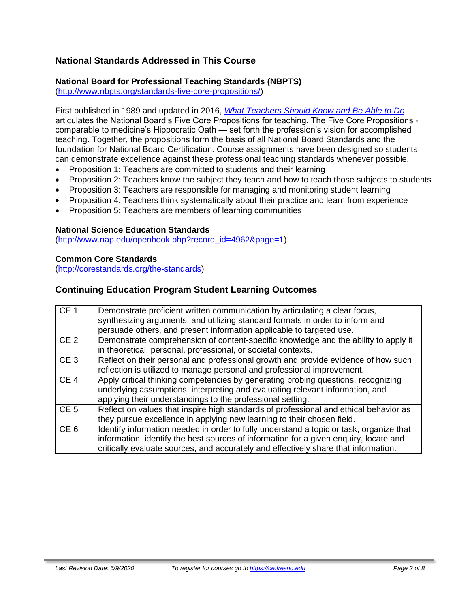# **National Standards Addressed in This Course**

#### **National Board for Professional Teaching Standards (NBPTS)**

[\(http://www.nbpts.org/standards-five-core-propositions/\)](http://www.nbpts.org/standards-five-core-propositions/)

First published in 1989 and updated in 2016, *[What Teachers Should Know and Be Able to Do](http://www.accomplishedteacher.org/)* articulates the National Board's Five Core Propositions for teaching. The Five Core Propositions comparable to medicine's Hippocratic Oath — set forth the profession's vision for accomplished teaching. Together, the propositions form the basis of all National Board Standards and the foundation for National Board Certification. Course assignments have been designed so students can demonstrate excellence against these professional teaching standards whenever possible.

- Proposition 1: Teachers are committed to students and their learning
- Proposition 2: Teachers know the subject they teach and how to teach those subjects to students
- Proposition 3: Teachers are responsible for managing and monitoring student learning
- Proposition 4: Teachers think systematically about their practice and learn from experience
- Proposition 5: Teachers are members of learning communities

#### **National Science Education Standards**

[\(http://www.nap.edu/openbook.php?record\\_id=4962&page=1\)](http://www.nap.edu/openbook.php?record_id=4962&page=1)

#### **Common Core Standards**

[\(http://corestandards.org/the-standards\)](http://corestandards.org/the-standards)

#### **Continuing Education Program Student Learning Outcomes**

| CE 1            | Demonstrate proficient written communication by articulating a clear focus,<br>synthesizing arguments, and utilizing standard formats in order to inform and<br>persuade others, and present information applicable to targeted use.                                    |
|-----------------|-------------------------------------------------------------------------------------------------------------------------------------------------------------------------------------------------------------------------------------------------------------------------|
| CE <sub>2</sub> | Demonstrate comprehension of content-specific knowledge and the ability to apply it<br>in theoretical, personal, professional, or societal contexts.                                                                                                                    |
| CE <sub>3</sub> | Reflect on their personal and professional growth and provide evidence of how such<br>reflection is utilized to manage personal and professional improvement.                                                                                                           |
| CE <sub>4</sub> | Apply critical thinking competencies by generating probing questions, recognizing<br>underlying assumptions, interpreting and evaluating relevant information, and<br>applying their understandings to the professional setting.                                        |
| CE <sub>5</sub> | Reflect on values that inspire high standards of professional and ethical behavior as<br>they pursue excellence in applying new learning to their chosen field.                                                                                                         |
| CE <sub>6</sub> | Identify information needed in order to fully understand a topic or task, organize that<br>information, identify the best sources of information for a given enquiry, locate and<br>critically evaluate sources, and accurately and effectively share that information. |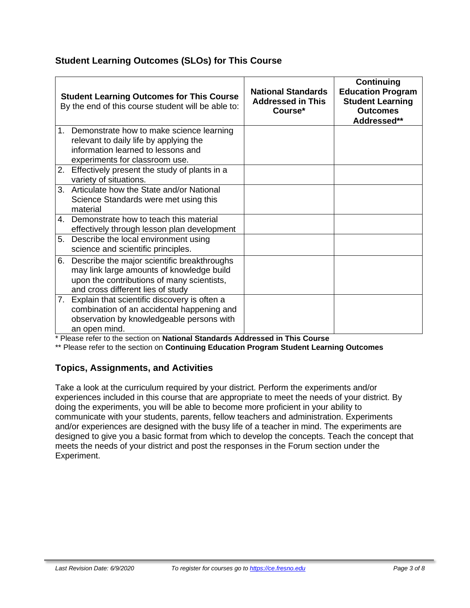# **Student Learning Outcomes (SLOs) for This Course**

|    | <b>Student Learning Outcomes for This Course</b><br>By the end of this course student will be able to:                                                                      | <b>National Standards</b><br><b>Addressed in This</b><br>Course* | Continuing<br><b>Education Program</b><br><b>Student Learning</b><br><b>Outcomes</b><br>Addressed** |
|----|-----------------------------------------------------------------------------------------------------------------------------------------------------------------------------|------------------------------------------------------------------|-----------------------------------------------------------------------------------------------------|
| 1. | Demonstrate how to make science learning<br>relevant to daily life by applying the<br>information learned to lessons and<br>experiments for classroom use.                  |                                                                  |                                                                                                     |
| 2. | Effectively present the study of plants in a<br>variety of situations.                                                                                                      |                                                                  |                                                                                                     |
| 3. | Articulate how the State and/or National<br>Science Standards were met using this<br>material                                                                               |                                                                  |                                                                                                     |
| 4  | Demonstrate how to teach this material<br>effectively through lesson plan development                                                                                       |                                                                  |                                                                                                     |
| 5. | Describe the local environment using<br>science and scientific principles.                                                                                                  |                                                                  |                                                                                                     |
| 6. | Describe the major scientific breakthroughs<br>may link large amounts of knowledge build<br>upon the contributions of many scientists,<br>and cross different lies of study |                                                                  |                                                                                                     |
|    | 7. Explain that scientific discovery is often a<br>combination of an accidental happening and<br>observation by knowledgeable persons with<br>an open mind.                 |                                                                  |                                                                                                     |

\* Please refer to the section on **National Standards Addressed in This Course**

\*\* Please refer to the section on **Continuing Education Program Student Learning Outcomes**

## **Topics, Assignments, and Activities**

Take a look at the curriculum required by your district. Perform the experiments and/or experiences included in this course that are appropriate to meet the needs of your district. By doing the experiments, you will be able to become more proficient in your ability to communicate with your students, parents, fellow teachers and administration. Experiments and/or experiences are designed with the busy life of a teacher in mind. The experiments are designed to give you a basic format from which to develop the concepts. Teach the concept that meets the needs of your district and post the responses in the Forum section under the Experiment.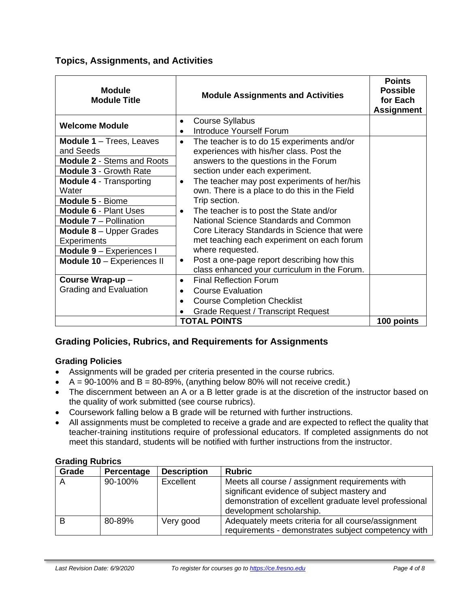## **Topics, Assignments, and Activities**

| <b>Module</b><br><b>Module Title</b>                                                                                                                                              | <b>Module Assignments and Activities</b>                                                                                                                                                                                                                                   | <b>Points</b><br><b>Possible</b><br>for Each<br><b>Assignment</b> |
|-----------------------------------------------------------------------------------------------------------------------------------------------------------------------------------|----------------------------------------------------------------------------------------------------------------------------------------------------------------------------------------------------------------------------------------------------------------------------|-------------------------------------------------------------------|
| <b>Welcome Module</b>                                                                                                                                                             | <b>Course Syllabus</b><br>$\bullet$                                                                                                                                                                                                                                        |                                                                   |
| <b>Module 1</b> - Trees, Leaves<br>and Seeds<br><b>Module 2 - Stems and Roots</b>                                                                                                 | Introduce Yourself Forum<br>The teacher is to do 15 experiments and/or<br>$\bullet$<br>experiences with his/her class. Post the<br>answers to the questions in the Forum                                                                                                   |                                                                   |
| <b>Module 3 - Growth Rate</b><br><b>Module 4 - Transporting</b><br>Water<br>Module 5 - Biome                                                                                      | section under each experiment.<br>The teacher may post experiments of her/his<br>$\bullet$<br>own. There is a place to do this in the Field<br>Trip section.                                                                                                               |                                                                   |
| <b>Module 6 - Plant Uses</b><br><b>Module 7 - Pollination</b><br><b>Module 8</b> $-$ Upper Grades<br><b>Experiments</b><br>Module 9 - Experiences I<br>Module 10 - Experiences II | The teacher is to post the State and/or<br>$\bullet$<br>National Science Standards and Common<br>Core Literacy Standards in Science that were<br>met teaching each experiment on each forum<br>where requested.<br>Post a one-page report describing how this<br>$\bullet$ |                                                                   |
| Course Wrap-up-<br>Grading and Evaluation                                                                                                                                         | class enhanced your curriculum in the Forum.<br><b>Final Reflection Forum</b><br>$\bullet$<br><b>Course Evaluation</b><br>$\bullet$<br><b>Course Completion Checklist</b><br>$\bullet$<br><b>Grade Request / Transcript Request</b><br><b>TOTAL POINTS</b>                 | 100 points                                                        |

# **Grading Policies, Rubrics, and Requirements for Assignments**

## **Grading Policies**

- Assignments will be graded per criteria presented in the course rubrics.
- $A = 90-100\%$  and  $B = 80-89\%$ , (anything below 80% will not receive credit.)
- The discernment between an A or a B letter grade is at the discretion of the instructor based on the quality of work submitted (see course rubrics).
- Coursework falling below a B grade will be returned with further instructions.
- All assignments must be completed to receive a grade and are expected to reflect the quality that teacher-training institutions require of professional educators. If completed assignments do not meet this standard, students will be notified with further instructions from the instructor.

| Grade | Percentage | <b>Description</b> | <b>Rubric</b>                                                                                                                                                                        |
|-------|------------|--------------------|--------------------------------------------------------------------------------------------------------------------------------------------------------------------------------------|
|       | 90-100%    | Excellent          | Meets all course / assignment requirements with<br>significant evidence of subject mastery and<br>demonstration of excellent graduate level professional<br>development scholarship. |
| B     | 80-89%     | Very good          | Adequately meets criteria for all course/assignment<br>requirements - demonstrates subject competency with                                                                           |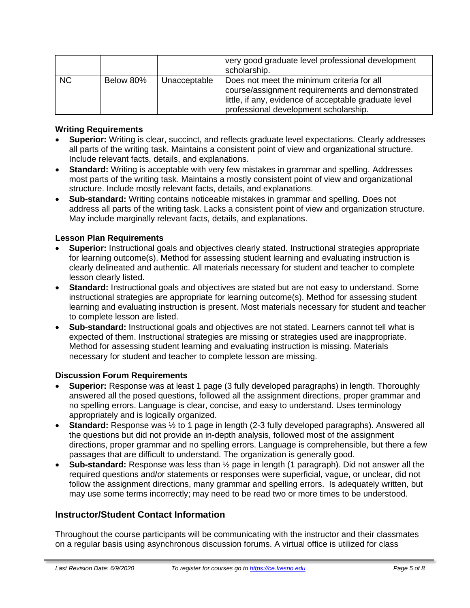|     |           |              | very good graduate level professional development<br>scholarship.                                                                                                                               |
|-----|-----------|--------------|-------------------------------------------------------------------------------------------------------------------------------------------------------------------------------------------------|
| NC. | Below 80% | Unacceptable | Does not meet the minimum criteria for all<br>course/assignment requirements and demonstrated<br>little, if any, evidence of acceptable graduate level<br>professional development scholarship. |

#### **Writing Requirements**

- **Superior:** Writing is clear, succinct, and reflects graduate level expectations. Clearly addresses all parts of the writing task. Maintains a consistent point of view and organizational structure. Include relevant facts, details, and explanations.
- **Standard:** Writing is acceptable with very few mistakes in grammar and spelling. Addresses most parts of the writing task. Maintains a mostly consistent point of view and organizational structure. Include mostly relevant facts, details, and explanations.
- **Sub-standard:** Writing contains noticeable mistakes in grammar and spelling. Does not address all parts of the writing task. Lacks a consistent point of view and organization structure. May include marginally relevant facts, details, and explanations.

#### **Lesson Plan Requirements**

- **Superior:** Instructional goals and objectives clearly stated. Instructional strategies appropriate for learning outcome(s). Method for assessing student learning and evaluating instruction is clearly delineated and authentic. All materials necessary for student and teacher to complete lesson clearly listed.
- **Standard:** Instructional goals and objectives are stated but are not easy to understand. Some instructional strategies are appropriate for learning outcome(s). Method for assessing student learning and evaluating instruction is present. Most materials necessary for student and teacher to complete lesson are listed.
- **Sub-standard:** Instructional goals and objectives are not stated. Learners cannot tell what is expected of them. Instructional strategies are missing or strategies used are inappropriate. Method for assessing student learning and evaluating instruction is missing. Materials necessary for student and teacher to complete lesson are missing.

#### **Discussion Forum Requirements**

- **Superior:** Response was at least 1 page (3 fully developed paragraphs) in length. Thoroughly answered all the posed questions, followed all the assignment directions, proper grammar and no spelling errors. Language is clear, concise, and easy to understand. Uses terminology appropriately and is logically organized.
- **Standard:** Response was ½ to 1 page in length (2-3 fully developed paragraphs). Answered all the questions but did not provide an in-depth analysis, followed most of the assignment directions, proper grammar and no spelling errors. Language is comprehensible, but there a few passages that are difficult to understand. The organization is generally good.
- **Sub-standard:** Response was less than ½ page in length (1 paragraph). Did not answer all the required questions and/or statements or responses were superficial, vague, or unclear, did not follow the assignment directions, many grammar and spelling errors. Is adequately written, but may use some terms incorrectly; may need to be read two or more times to be understood.

## **Instructor/Student Contact Information**

Throughout the course participants will be communicating with the instructor and their classmates on a regular basis using asynchronous discussion forums. A virtual office is utilized for class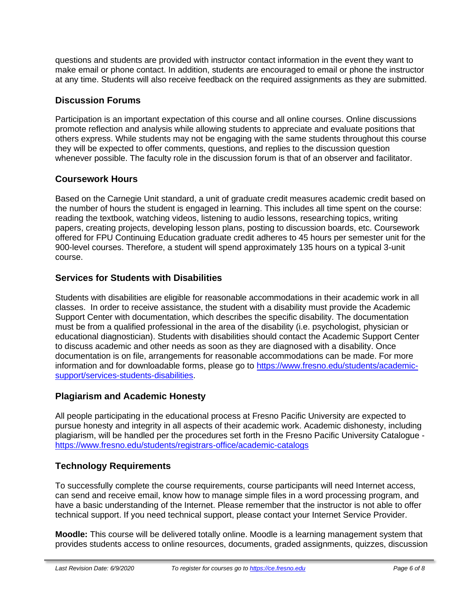questions and students are provided with instructor contact information in the event they want to make email or phone contact. In addition, students are encouraged to email or phone the instructor at any time. Students will also receive feedback on the required assignments as they are submitted.

## **Discussion Forums**

Participation is an important expectation of this course and all online courses. Online discussions promote reflection and analysis while allowing students to appreciate and evaluate positions that others express. While students may not be engaging with the same students throughout this course they will be expected to offer comments, questions, and replies to the discussion question whenever possible. The faculty role in the discussion forum is that of an observer and facilitator.

## **Coursework Hours**

Based on the Carnegie Unit standard, a unit of graduate credit measures academic credit based on the number of hours the student is engaged in learning. This includes all time spent on the course: reading the textbook, watching videos, listening to audio lessons, researching topics, writing papers, creating projects, developing lesson plans, posting to discussion boards, etc. Coursework offered for FPU Continuing Education graduate credit adheres to 45 hours per semester unit for the 900-level courses. Therefore, a student will spend approximately 135 hours on a typical 3-unit course.

## **Services for Students with Disabilities**

Students with disabilities are eligible for reasonable accommodations in their academic work in all classes. In order to receive assistance, the student with a disability must provide the Academic Support Center with documentation, which describes the specific disability. The documentation must be from a qualified professional in the area of the disability (i.e. psychologist, physician or educational diagnostician). Students with disabilities should contact the Academic Support Center to discuss academic and other needs as soon as they are diagnosed with a disability. Once documentation is on file, arrangements for reasonable accommodations can be made. For more information and for downloadable forms, please go to [https://www.fresno.edu/students/academic](https://www.fresno.edu/students/academic-support/services-students-disabilities)[support/services-students-disabilities.](https://www.fresno.edu/students/academic-support/services-students-disabilities)

## **Plagiarism and Academic Honesty**

All people participating in the educational process at Fresno Pacific University are expected to pursue honesty and integrity in all aspects of their academic work. Academic dishonesty, including plagiarism, will be handled per the procedures set forth in the Fresno Pacific University Catalogue <https://www.fresno.edu/students/registrars-office/academic-catalogs>

# **Technology Requirements**

To successfully complete the course requirements, course participants will need Internet access, can send and receive email, know how to manage simple files in a word processing program, and have a basic understanding of the Internet. Please remember that the instructor is not able to offer technical support. If you need technical support, please contact your Internet Service Provider.

**Moodle:** This course will be delivered totally online. Moodle is a learning management system that provides students access to online resources, documents, graded assignments, quizzes, discussion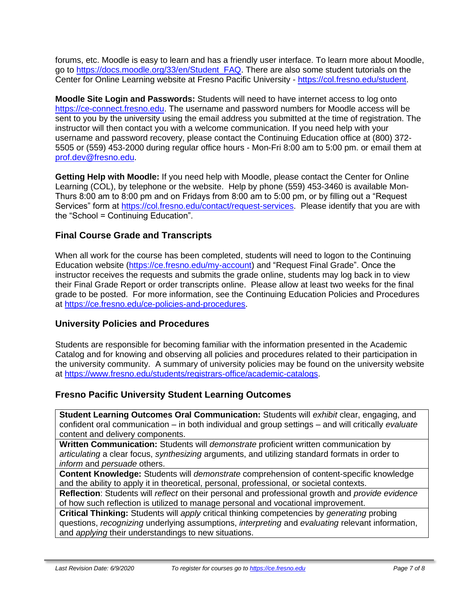forums, etc. Moodle is easy to learn and has a friendly user interface. To learn more about Moodle, go to [https://docs.moodle.org/33/en/Student\\_FAQ.](https://docs.moodle.org/33/en/Student_FAQ) There are also some student tutorials on the Center for Online Learning website at Fresno Pacific University - [https://col.fresno.edu/student.](https://col.fresno.edu/student)

**Moodle Site Login and Passwords:** Students will need to have internet access to log onto [https://ce-connect.fresno.edu.](https://ce-connect.fresno.edu/) The username and password numbers for Moodle access will be sent to you by the university using the email address you submitted at the time of registration. The instructor will then contact you with a welcome communication. If you need help with your username and password recovery, please contact the Continuing Education office at (800) 372- 5505 or (559) 453-2000 during regular office hours - Mon-Fri 8:00 am to 5:00 pm. or email them at [prof.dev@fresno.edu.](mailto:prof.dev@fresno.edu)

**Getting Help with Moodle:** If you need help with Moodle, please contact the Center for Online Learning (COL), by telephone or the website. Help by phone (559) 453-3460 is available Mon-Thurs 8:00 am to 8:00 pm and on Fridays from 8:00 am to 5:00 pm, or by filling out a "Request Services" form at [https://col.fresno.edu/contact/request-services.](https://col.fresno.edu/contact/request-services) Please identify that you are with the "School = Continuing Education".

# **Final Course Grade and Transcripts**

When all work for the course has been completed, students will need to logon to the Continuing Education website [\(https://ce.fresno.edu/my-account\)](https://ce.fresno.edu/my-account) and "Request Final Grade". Once the instructor receives the requests and submits the grade online, students may log back in to view their Final Grade Report or order transcripts online. Please allow at least two weeks for the final grade to be posted. For more information, see the Continuing Education Policies and Procedures at [https://ce.fresno.edu/ce-policies-and-procedures.](https://ce.fresno.edu/ce-policies-and-procedures)

## **University Policies and Procedures**

Students are responsible for becoming familiar with the information presented in the Academic Catalog and for knowing and observing all policies and procedures related to their participation in the university community. A summary of university policies may be found on the university website at [https://www.fresno.edu/students/registrars-office/academic-catalogs.](https://www.fresno.edu/students/registrars-office/academic-catalogs)

## **Fresno Pacific University Student Learning Outcomes**

**Student Learning Outcomes Oral Communication:** Students will *exhibit* clear, engaging, and confident oral communication – in both individual and group settings – and will critically *evaluate*  content and delivery components.

**Written Communication:** Students will *demonstrate* proficient written communication by *articulating* a clear focus, *synthesizing* arguments, and utilizing standard formats in order to *inform* and *persuade* others.

**Content Knowledge:** Students will *demonstrate* comprehension of content-specific knowledge and the ability to apply it in theoretical, personal, professional, or societal contexts.

**Reflection**: Students will *reflect* on their personal and professional growth and *provide evidence*  of how such reflection is utilized to manage personal and vocational improvement.

**Critical Thinking:** Students will *apply* critical thinking competencies by *generating* probing questions, *recognizing* underlying assumptions, *interpreting* and *evaluating* relevant information, and *applying* their understandings to new situations.